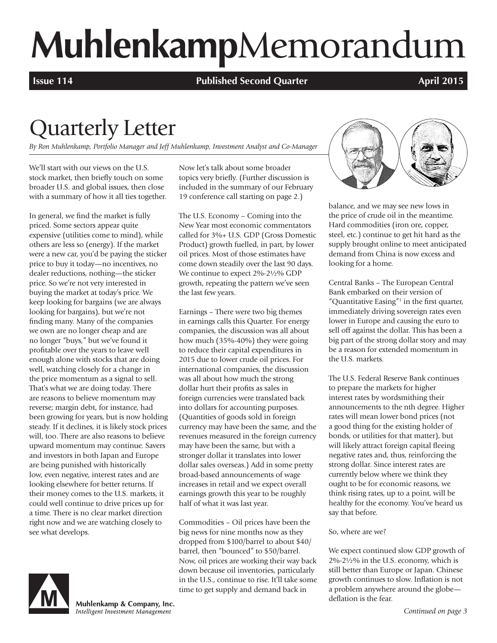# **Muhlenkamp**Memorandum

**Issue 114 Published Second Quarter April 2015** 

# Quarterly Letter

*By Ron Muhlenkamp, Portfolio Manager and Jeff Muhlenkamp, Investment Analyst and Co-Manager*

We'll start with our views on the U.S. stock market, then briefly touch on some broader U.S. and global issues, then close with a summary of how it all ties together.

In general, we find the market is fully priced. Some sectors appear quite expensive (utilities come to mind), while others are less so (energy). If the market were a new car, you'd be paying the sticker price to buy it today—no incentives, no dealer reductions, nothing—the sticker price. So we're not very interested in buying the market at today's price. We keep looking for bargains (we are always looking for bargains), but we're not finding many. Many of the companies we own are no longer cheap and are no longer "buys," but we've found it profitable over the years to leave well enough alone with stocks that are doing well, watching closely for a change in the price momentum as a signal to sell. That's what we are doing today. There are reasons to believe momentum may reverse; margin debt, for instance, had been growing for years, but is now holding steady. If it declines, it is likely stock prices will, too. There are also reasons to believe upward momentum may continue. Savers and investors in both Japan and Europe are being punished with historically low, even negative, interest rates and are looking elsewhere for better returns. If their money comes to the U.S. markets, it could well continue to drive prices up for a time. There is no clear market direction right now and we are watching closely to see what develops.

Muhlenkamp & Company, Inc. Intelligent Investment Management

Now let's talk about some broader topics very briefly. (Further discussion is included in the summary of our February 19 conference call starting on page 2.)

The U.S. Economy – Coming into the New Year most economic commentators called for 3%+ U.S. GDP (Gross Domestic Product) growth fuelled, in part, by lower oil prices. Most of those estimates have come down steadily over the last 90 days. We continue to expect 2%-2½% GDP growth, repeating the pattern we've seen the last few years.

Earnings – There were two big themes in earnings calls this Quarter. For energy companies, the discussion was all about how much (35%-40%) they were going to reduce their capital expenditures in 2015 due to lower crude oil prices. For international companies, the discussion was all about how much the strong dollar hurt their profits as sales in foreign currencies were translated back into dollars for accounting purposes. (Quantities of goods sold in foreign currency may have been the same, and the revenues measured in the foreign currency may have been the same, but with a stronger dollar it translates into lower dollar sales overseas.) Add in some pretty broad-based announcements of wage increases in retail and we expect overall earnings growth this year to be roughly half of what it was last year.

Commodities – Oil prices have been the big news for nine months now as they dropped from \$100/barrel to about \$40/ barrel, then "bounced" to \$50/barrel. Now, oil prices are working their way back down because oil inventories, particularly in the U.S., continue to rise. It'll take some time to get supply and demand back in



balance, and we may see new lows in the price of crude oil in the meantime. Hard commodities (iron ore, copper, steel, etc.) continue to get hit hard as the supply brought online to meet anticipated demand from China is now excess and looking for a home.

Central Banks – The European Central Bank embarked on their version of "Quantitative Easing" $1$  in the first quarter, immediately driving sovereign rates even lower in Europe and causing the euro to sell off against the dollar. This has been a big part of the strong dollar story and may be a reason for extended momentum in the U.S. markets.

The U.S. Federal Reserve Bank continues to prepare the markets for higher interest rates by wordsmithing their announcements to the nth degree. Higher rates will mean lower bond prices (not a good thing for the existing holder of bonds, or utilities for that matter), but will likely attract foreign capital fleeing negative rates and, thus, reinforcing the strong dollar. Since interest rates are currently below where we think they ought to be for economic reasons, we think rising rates, up to a point, will be healthy for the economy. You've heard us say that before.

#### So, where are we?

We expect continued slow GDP growth of 2%-2½% in the U.S. economy, which is still better than Europe or Japan. Chinese growth continues to slow. Inflation is not a problem anywhere around the globe deflation is the fear.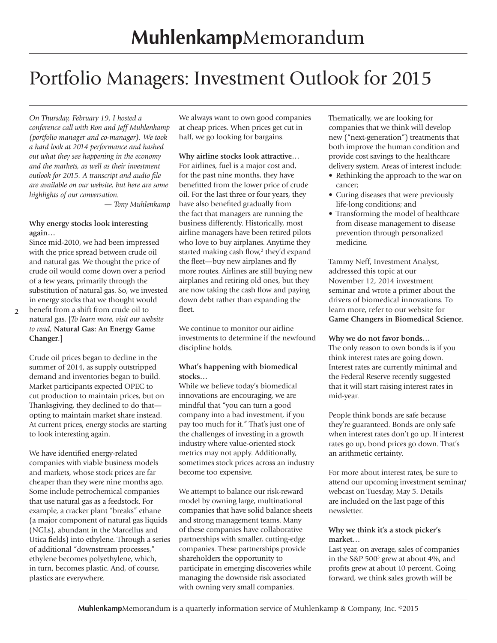# Portfolio Managers: Investment Outlook for 2015

*On Thursday, February 19, I hosted a conference call with Ron and Jeff Muhlenkamp (portfolio manager and co-manager). We took a hard look at 2014 performance and hashed out what they see happening in the economy and the markets, as well as their investment outlook for 2015. A transcript and audio file are available on our website, but here are some highlights of our conversation.* 

*— Tony Muhlenkamp*

#### **Why energy stocks look interesting again…**

Since mid-2010, we had been impressed with the price spread between crude oil and natural gas. We thought the price of crude oil would come down over a period of a few years, primarily through the substitution of natural gas. So, we invested in energy stocks that we thought would

**2** benefit from a shift from crude oil to natural gas. [*To learn more, visit our website to read,* **Natural Gas: An Energy Game Changer**.]

Crude oil prices began to decline in the summer of 2014, as supply outstripped demand and inventories began to build. Market participants expected OPEC to cut production to maintain prices, but on Thanksgiving, they declined to do that opting to maintain market share instead. At current prices, energy stocks are starting to look interesting again.

We have identified energy-related companies with viable business models and markets, whose stock prices are far cheaper than they were nine months ago. Some include petrochemical companies that use natural gas as a feedstock. For example, a cracker plant "breaks" ethane (a major component of natural gas liquids (NGLs), abundant in the Marcellus and Utica fields) into ethylene. Through a series of additional "downstream processes," ethylene becomes polyethylene, which, in turn, becomes plastic. And, of course, plastics are everywhere.

We always want to own good companies at cheap prices. When prices get cut in half, we go looking for bargains.

#### **Why airline stocks look attractive…** For airlines, fuel is a major cost and,

for the past nine months, they have benefitted from the lower price of crude oil. For the last three or four years, they have also benefited gradually from the fact that managers are running the business differently. Historically, most airline managers have been retired pilots who love to buy airplanes. Anytime they started making cash flow,<sup>2</sup> they'd expand the fleet—buy new airplanes and fly more routes. Airlines are still buying new airplanes and retiring old ones, but they are now taking the cash flow and paying down debt rather than expanding the fleet.

We continue to monitor our airline investments to determine if the newfound discipline holds.

#### **What's happening with biomedical stocks…**

While we believe today's biomedical innovations are encouraging, we are mindful that "you can turn a good company into a bad investment, if you pay too much for it." That's just one of the challenges of investing in a growth industry where value-oriented stock metrics may not apply. Additionally, sometimes stock prices across an industry become too expensive.

We attempt to balance our risk-reward model by owning large, multinational companies that have solid balance sheets and strong management teams. Many of these companies have collaborative partnerships with smaller, cutting-edge companies. These partnerships provide shareholders the opportunity to participate in emerging discoveries while managing the downside risk associated with owning very small companies.

Thematically, we are looking for companies that we think will develop new ("next-generation") treatments that both improve the human condition and provide cost savings to the healthcare delivery system. Areas of interest include:

- Rethinking the approach to the war on cancer;
- Curing diseases that were previously life-long conditions; and
- Transforming the model of healthcare from disease management to disease prevention through personalized medicine.

Tammy Neff, Investment Analyst, addressed this topic at our November 12, 2014 investment seminar and wrote a primer about the drivers of biomedical innovations. To learn more, refer to our website for **Game Changers in Biomedical Science**.

#### **Why we do not favor bonds…**

The only reason to own bonds is if you think interest rates are going down. Interest rates are currently minimal and the Federal Reserve recently suggested that it will start raising interest rates in mid-year.

People think bonds are safe because they're guaranteed. Bonds are only safe when interest rates don't go up. If interest rates go up, bond prices go down. That's an arithmetic certainty.

For more about interest rates, be sure to attend our upcoming investment seminar/ webcast on Tuesday, May 5. Details are included on the last page of this newsletter.

#### **Why we think it's a stock picker's market…**

Last year, on average, sales of companies in the S&P 5003 grew at about 4%, and profits grew at about 10 percent. Going forward, we think sales growth will be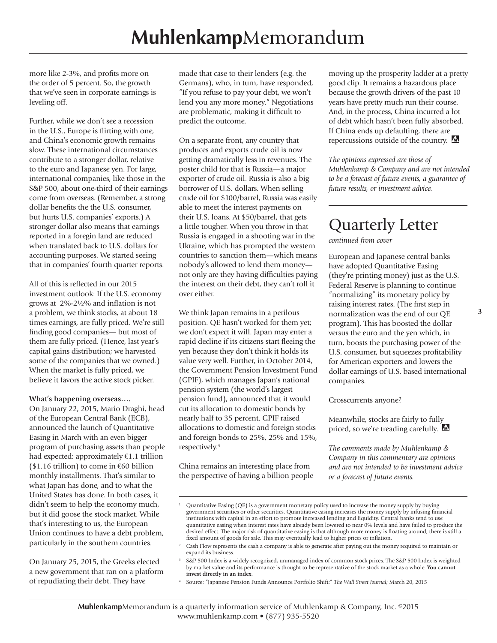more like 2-3%, and profits more on the order of 5 percent. So, the growth that we've seen in corporate earnings is leveling off.

Further, while we don't see a recession in the U.S., Europe is flirting with one, and China's economic growth remains slow. These international circumstances contribute to a stronger dollar, relative to the euro and Japanese yen. For large, international companies, like those in the S&P 500, about one-third of their earnings come from overseas. (Remember, a strong dollar benefits the the U.S. consumer, but hurts U.S. companies' exports.) A stronger dollar also means that earnings reported in a foregin land are reduced when translated back to U.S. dollars for accounting purposes. We started seeing that in companies' fourth quarter reports.

All of this is reflected in our 2015 investment outlook: If the U.S. economy grows at 2%-2½% and inflation is not a problem, we think stocks, at about 18 times earnings, are fully priced. We're still finding good companies— but most of them are fully priced. (Hence, last year's capital gains distribution; we harvested some of the companies that we owned.) When the market is fully priced, we believe it favors the active stock picker.

#### **What's happening overseas….**

On January 22, 2015, Mario Draghi, head of the European Central Bank (ECB), announced the launch of Quantitative Easing in March with an even bigger program of purchasing assets than people had expected: approximately  $€1.1$  trillion  $($1.16\text{ trillion})$  to come in  $€60\text{ billion}$ monthly installments. That's similar to what Japan has done, and to what the United States has done. In both cases, it didn't seem to help the economy much, but it did goose the stock market. While that's interesting to us, the European Union continues to have a debt problem, particularly in the southern countries.

On January 25, 2015, the Greeks elected a new government that ran on a platform of repudiating their debt. They have

made that case to their lenders (e.g. the Germans), who, in turn, have responded, "If you refuse to pay your debt, we won't lend you any more money." Negotiations are problematic, making it difficult to predict the outcome.

On a separate front, any country that produces and exports crude oil is now getting dramatically less in revenues. The poster child for that is Russia—a major exporter of crude oil. Russia is also a big borrower of U.S. dollars. When selling crude oil for \$100/barrel, Russia was easily able to meet the interest payments on their U.S. loans. At \$50/barrel, that gets a little tougher. When you throw in that Russia is engaged in a shooting war in the Ukraine, which has prompted the western countries to sanction them—which means nobody's allowed to lend them money not only are they having difficulties paying the interest on their debt, they can't roll it over either.

We think Japan remains in a perilous position. QE hasn't worked for them yet; we don't expect it will. Japan may enter a rapid decline if its citizens start fleeing the yen because they don't think it holds its value very well. Further, in October 2014, the Government Pension Investment Fund (GPIF), which manages Japan's national pension system (the world's largest pension fund), announced that it would cut its allocation to domestic bonds by nearly half to 35 percent. GPIF raised allocations to domestic and foreign stocks and foreign bonds to 25%, 25% and 15%, respectively.4

China remains an interesting place from the perspective of having a billion people

moving up the prosperity ladder at a pretty good clip. It remains a hazardous place because the growth drivers of the past 10 years have pretty much run their course. And, in the process, China incurred a lot of debt which hasn't been fully absorbed. If China ends up defaulting, there are repercussions outside of the country.

*The opinions expressed are those of Muhlenkamp & Company and are not intended to be a forecast of future events, a guarantee of future results, or investment advice.* 

### Quarterly Letter

*continued from cover*

European and Japanese central banks have adopted Quantitative Easing (they're printing money) just as the U.S. Federal Reserve is planning to continue "normalizing" its monetary policy by raising interest rates. (The first step in normalization was the end of our QE program). This has boosted the dollar versus the euro and the yen which, in turn, boosts the purchasing power of the U.S. consumer, but squeezes profitability for American exporters and lowers the dollar earnings of U.S. based international companies.

Crosscurrents anyone?

Meanwhile, stocks are fairly to fully priced, so we're treading carefully. M

*The comments made by Muhlenkamp & Company in this commentary are opinions and are not intended to be investment advice or a forecast of future events.*

<sup>1</sup> Quantitative Easing (QE) is a government monetary policy used to increase the money supply by buying government securities or other securities. Quantitative easing increases the money supply by infusing financial institutions with capital in an effort to promote increased lending and liquidity. Central banks tend to use quantitative easing when interest rates have already been lowered to near 0% levels and have failed to produce the desired effect. The major risk of quantitative easing is that although more money is floating around, there is still a fixed amount of goods for sale. This may eventually lead to higher prices or inflation.

<sup>2</sup> Cash Flow represents the cash a company is able to generate after paying out the money required to maintain or expand its business.

<sup>3</sup> S&P 500 Index is a widely recognized, unmanaged index of common stock prices. The S&P 500 Index is weighted by market value and its performance is thought to be representative of the stock market as a whole. **You cannot invest directly in an index**.

<sup>4</sup> Source: "Japanese Pension Funds Announce Portfolio Shift:" *The Wall Street Journal;* March 20, 2015